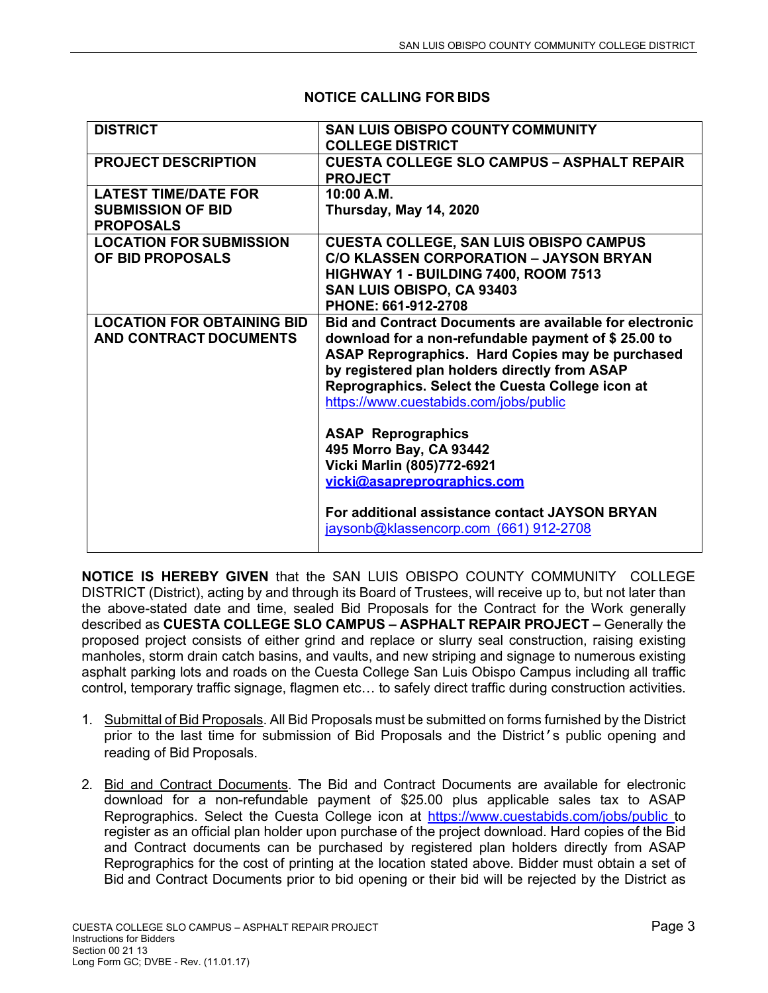| <b>DISTRICT</b>                   | <b>SAN LUIS OBISPO COUNTY COMMUNITY</b>                        |
|-----------------------------------|----------------------------------------------------------------|
|                                   | <b>COLLEGE DISTRICT</b>                                        |
| <b>PROJECT DESCRIPTION</b>        | <b>CUESTA COLLEGE SLO CAMPUS - ASPHALT REPAIR</b>              |
|                                   | <b>PROJECT</b>                                                 |
| <b>LATEST TIME/DATE FOR</b>       | 10:00 A.M.                                                     |
| <b>SUBMISSION OF BID</b>          | Thursday, May 14, 2020                                         |
| <b>PROPOSALS</b>                  |                                                                |
| <b>LOCATION FOR SUBMISSION</b>    | <b>CUESTA COLLEGE, SAN LUIS OBISPO CAMPUS</b>                  |
| OF BID PROPOSALS                  | <b>C/O KLASSEN CORPORATION - JAYSON BRYAN</b>                  |
|                                   | HIGHWAY 1 - BUILDING 7400, ROOM 7513                           |
|                                   | SAN LUIS OBISPO, CA 93403                                      |
|                                   | PHONE: 661-912-2708                                            |
| <b>LOCATION FOR OBTAINING BID</b> | <b>Bid and Contract Documents are available for electronic</b> |
| AND CONTRACT DOCUMENTS            | download for a non-refundable payment of \$25.00 to            |
|                                   | ASAP Reprographics. Hard Copies may be purchased               |
|                                   | by registered plan holders directly from ASAP                  |
|                                   | Reprographics. Select the Cuesta College icon at               |
|                                   | https://www.cuestabids.com/jobs/public                         |
|                                   |                                                                |
|                                   | <b>ASAP Reprographics</b><br>495 Morro Bay, CA 93442           |
|                                   | Vicki Marlin (805)772-6921                                     |
|                                   | vicki@asapreprographics.com                                    |
|                                   |                                                                |
|                                   | For additional assistance contact JAYSON BRYAN                 |
|                                   | jaysonb@klassencorp.com (661) 912-2708                         |
|                                   |                                                                |

## **NOTICE CALLING FOR BIDS**

**NOTICE IS HEREBY GIVEN** that the SAN LUIS OBISPO COUNTY COMMUNITY COLLEGE DISTRICT (District), acting by and through its Board of Trustees, will receive up to, but not later than the above-stated date and time, sealed Bid Proposals for the Contract for the Work generally described as **CUESTA COLLEGE SLO CAMPUS – ASPHALT REPAIR PROJECT –** Generally the proposed project consists of either grind and replace or slurry seal construction, raising existing manholes, storm drain catch basins, and vaults, and new striping and signage to numerous existing asphalt parking lots and roads on the Cuesta College San Luis Obispo Campus including all traffic control, temporary traffic signage, flagmen etc… to safely direct traffic during construction activities.

- 1. Submittal of Bid Proposals. All Bid Proposals must be submitted on forms furnished by the District prior to the last time for submission of Bid Proposals and the District's public opening and reading of Bid Proposals.
- 2. Bid and Contract Documents. The Bid and Contract Documents are available for electronic download for a non-refundable payment of \$25.00 plus applicable sales tax to ASAP Reprographics. Select the Cuesta College icon at https://www.cuestabids.com/jobs/public to register as an official plan holder upon purchase of the project download. Hard copies of the Bid and Contract documents can be purchased by registered plan holders directly from ASAP Reprographics for the cost of printing at the location stated above. Bidder must obtain a set of Bid and Contract Documents prior to bid opening or their bid will be rejected by the District as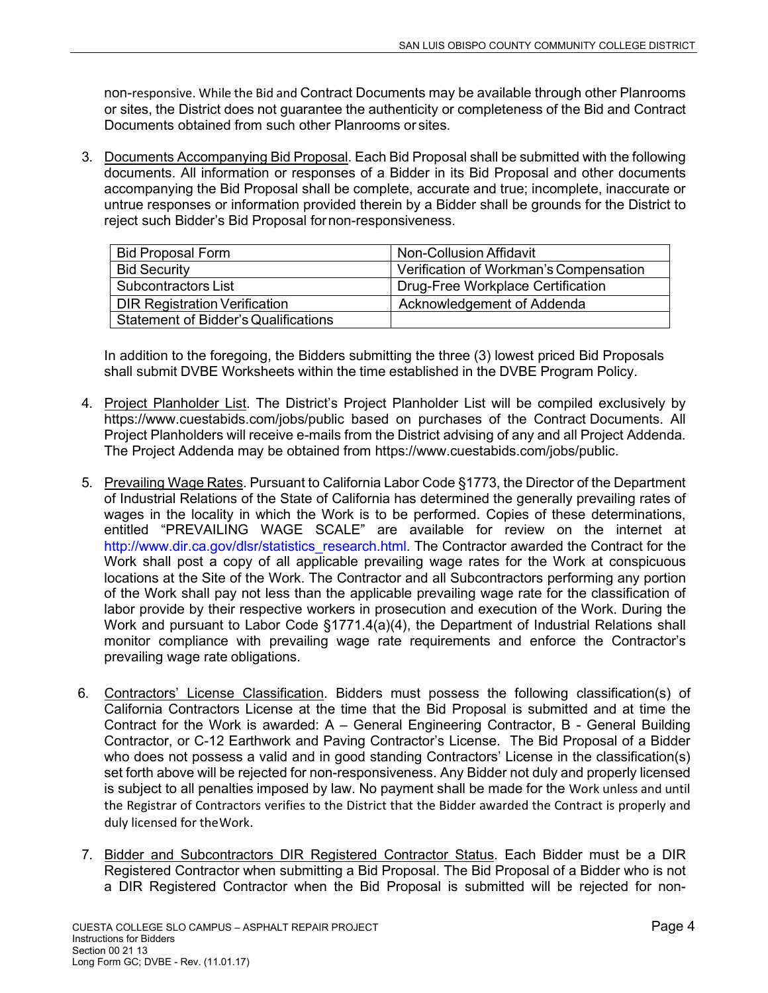non-responsive. While the Bid and Contract Documents may be available through other Planrooms or sites, the District does not guarantee the authenticity or completeness of the Bid and Contract Documents obtained from such other Planrooms or sites.

3. Documents Accompanying Bid Proposal. Each Bid Proposal shall be submitted with the following documents. All information or responses of a Bidder in its Bid Proposal and other documents accompanying the Bid Proposal shall be complete, accurate and true; incomplete, inaccurate or untrue responses or information provided therein by a Bidder shall be grounds for the District to reject such Bidder's Bid Proposal for non-responsiveness.

| <b>Bid Proposal Form</b>                    | Non-Collusion Affidavit                |
|---------------------------------------------|----------------------------------------|
| <b>Bid Security</b>                         | Verification of Workman's Compensation |
| Subcontractors List                         | Drug-Free Workplace Certification      |
| <b>DIR Registration Verification</b>        | Acknowledgement of Addenda             |
| <b>Statement of Bidder's Qualifications</b> |                                        |

In addition to the foregoing, the Bidders submitting the three (3) lowest priced Bid Proposals shall submit DVBE Worksheets within the time established in the DVBE Program Policy.

- 4. Project Planholder List. The District's Project Planholder List will be compiled exclusively by https://www.cuestabids.com/jobs/public based on purchases of the Contract Documents. All Project Planholders will receive e-mails from the District advising of any and all Project Addenda. The Project Addenda may be obtained from https://www.cuestabids.com/jobs/public.
- 5. Prevailing Wage Rates. Pursuant to California Labor Code §1773, the Director of the Department of Industrial Relations of the State of California has determined the generally prevailing rates of wages in the locality in which the Work is to be performed. Copies of these determinations, entitled "PREVAILING WAGE SCALE" are available for review on the internet at http://www.dir.ca.gov/dlsr/statistics\_research.html. The Contractor awarded the Contract for the Work shall post a copy of all applicable prevailing wage rates for the Work at conspicuous locations at the Site of the Work. The Contractor and all Subcontractors performing any portion of the Work shall pay not less than the applicable prevailing wage rate for the classification of labor provide by their respective workers in prosecution and execution of the Work. During the Work and pursuant to Labor Code §1771.4(a)(4), the Department of Industrial Relations shall monitor compliance with prevailing wage rate requirements and enforce the Contractor's prevailing wage rate obligations.
- 6. Contractors' License Classification. Bidders must possess the following classification(s) of California Contractors License at the time that the Bid Proposal is submitted and at time the Contract for the Work is awarded: A – General Engineering Contractor, B - General Building Contractor, or C-12 Earthwork and Paving Contractor's License. The Bid Proposal of a Bidder who does not possess a valid and in good standing Contractors' License in the classification(s) set forth above will be rejected for non-responsiveness. Any Bidder not duly and properly licensed is subject to all penalties imposed by law. No payment shall be made for the Work unless and until the Registrar of Contractors verifies to the District that the Bidder awarded the Contract is properly and duly licensed for the Work.
- 7. Bidder and Subcontractors DIR Registered Contractor Status. Each Bidder must be a DIR Registered Contractor when submitting a Bid Proposal. The Bid Proposal of a Bidder who is not a DIR Registered Contractor when the Bid Proposal is submitted will be rejected for non-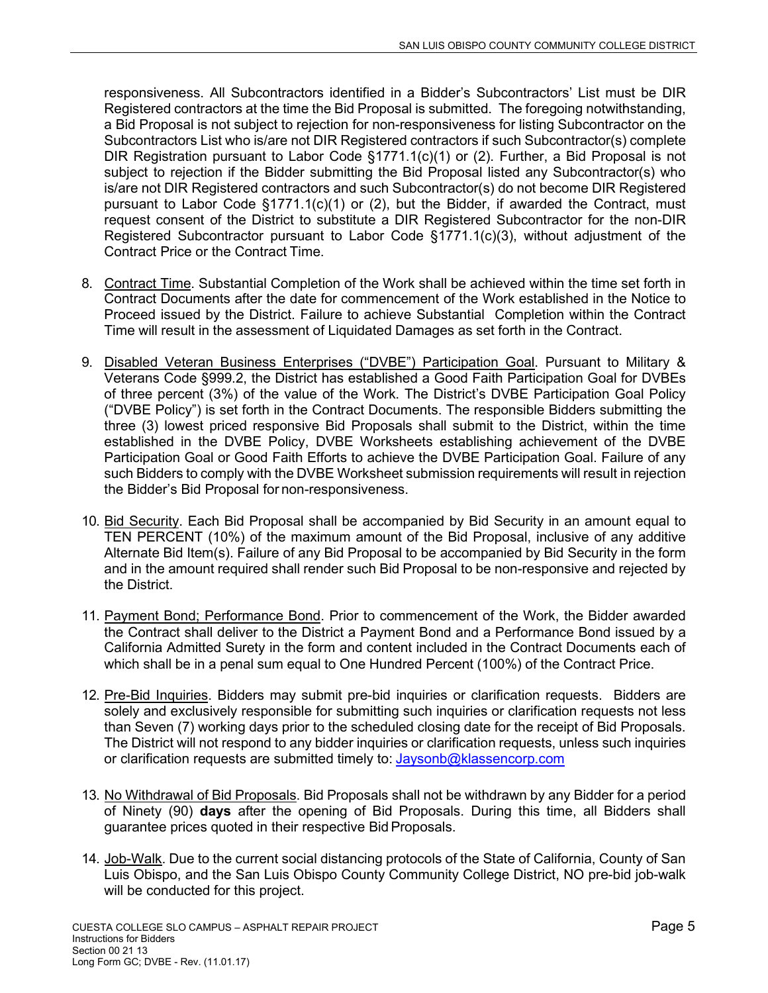responsiveness. All Subcontractors identified in a Bidder's Subcontractors' List must be DIR Registered contractors at the time the Bid Proposal is submitted. The foregoing notwithstanding, a Bid Proposal is not subject to rejection for non-responsiveness for listing Subcontractor on the Subcontractors List who is/are not DIR Registered contractors if such Subcontractor(s) complete DIR Registration pursuant to Labor Code  $\S 1771.1(c)(1)$  or (2). Further, a Bid Proposal is not subject to rejection if the Bidder submitting the Bid Proposal listed any Subcontractor(s) who is/are not DIR Registered contractors and such Subcontractor(s) do not become DIR Registered pursuant to Labor Code §1771.1(c)(1) or (2), but the Bidder, if awarded the Contract, must request consent of the District to substitute a DIR Registered Subcontractor for the non-DIR Registered Subcontractor pursuant to Labor Code §1771.1(c)(3), without adjustment of the Contract Price or the Contract Time.

- 8. Contract Time. Substantial Completion of the Work shall be achieved within the time set forth in Contract Documents after the date for commencement of the Work established in the Notice to Proceed issued by the District. Failure to achieve Substantial Completion within the Contract Time will result in the assessment of Liquidated Damages as set forth in the Contract.
- 9. Disabled Veteran Business Enterprises ("DVBE") Participation Goal. Pursuant to Military & Veterans Code §999.2, the District has established a Good Faith Participation Goal for DVBEs of three percent (3%) of the value of the Work. The District's DVBE Participation Goal Policy ("DVBE Policy") is set forth in the Contract Documents. The responsible Bidders submitting the three (3) lowest priced responsive Bid Proposals shall submit to the District, within the time established in the DVBE Policy, DVBE Worksheets establishing achievement of the DVBE Participation Goal or Good Faith Efforts to achieve the DVBE Participation Goal. Failure of any such Bidders to comply with the DVBE Worksheet submission requirements will result in rejection the Bidder's Bid Proposal for non-responsiveness.
- 10. Bid Security. Each Bid Proposal shall be accompanied by Bid Security in an amount equal to TEN PERCENT (10%) of the maximum amount of the Bid Proposal, inclusive of any additive Alternate Bid Item(s). Failure of any Bid Proposal to be accompanied by Bid Security in the form and in the amount required shall render such Bid Proposal to be non-responsive and rejected by the District.
- 11. Payment Bond; Performance Bond. Prior to commencement of the Work, the Bidder awarded the Contract shall deliver to the District a Payment Bond and a Performance Bond issued by a California Admitted Surety in the form and content included in the Contract Documents each of which shall be in a penal sum equal to One Hundred Percent (100%) of the Contract Price.
- 12. Pre-Bid Inquiries. Bidders may submit pre-bid inquiries or clarification requests. Bidders are solely and exclusively responsible for submitting such inquiries or clarification requests not less than Seven (7) working days prior to the scheduled closing date for the receipt of Bid Proposals. The District will not respond to any bidder inquiries or clarification requests, unless such inquiries or clarification requests are submitted timely to: Jaysonb@klassencorp.com
- 13. No Withdrawal of Bid Proposals. Bid Proposals shall not be withdrawn by any Bidder for a period of Ninety (90) **days** after the opening of Bid Proposals. During this time, all Bidders shall guarantee prices quoted in their respective Bid Proposals.
- 14. Job-Walk. Due to the current social distancing protocols of the State of California, County of San Luis Obispo, and the San Luis Obispo County Community College District, NO pre-bid job-walk will be conducted for this project.